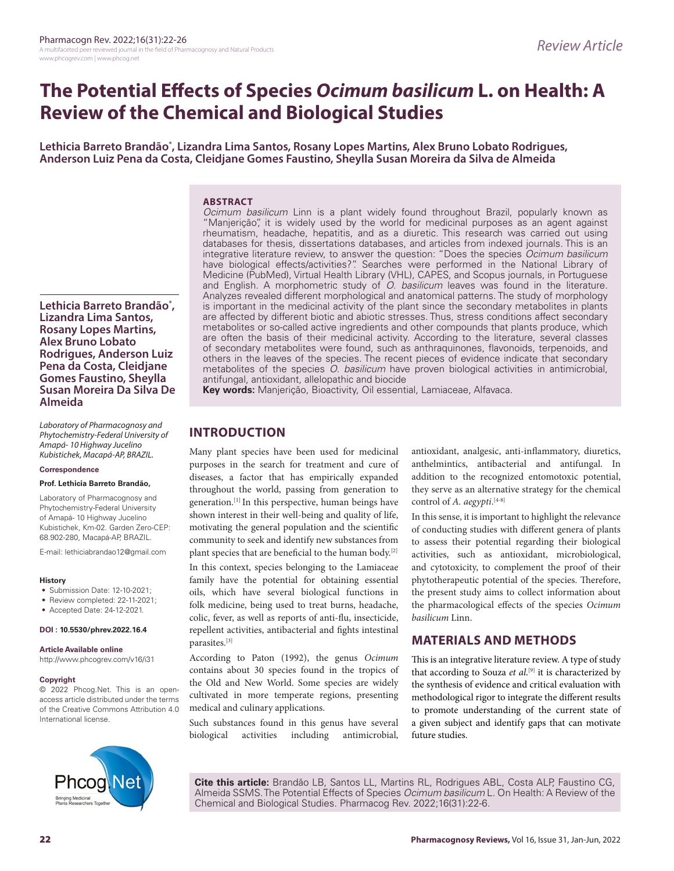# **The Potential Effects of Species** *Ocimum basilicum* **L. on Health: A Review of the Chemical and Biological Studies**

**Lethicia Barreto Brandão\* , Lizandra Lima Santos, Rosany Lopes Martins, Alex Bruno Lobato Rodrigues, Anderson Luiz Pena da Costa, Cleidjane Gomes Faustino, Sheylla Susan Moreira da Silva de Almeida**

#### **ABSTRACT** *Ocimum basilicum* Linn is a plant widely found throughout Brazil, popularly known as

"Manjerição", it is widely used by the world for medicinal purposes as an agent against rheumatism, headache, hepatitis, and as a diuretic. This research was carried out using databases for thesis, dissertations databases, and articles from indexed journals. This is an integrative literature review, to answer the question: "Does the species *Ocimum basilicum* have biological effects/activities?". Searches were performed in the National Library of Medicine (PubMed), Virtual Health Library (VHL), CAPES, and Scopus journals, in Portuguese and English. A morphometric study of *O. basilicum* leaves was found in the literature. Analyzes revealed different morphological and anatomical patterns. The study of morphology is important in the medicinal activity of the plant since the secondary metabolites in plants are affected by different biotic and abiotic stresses. Thus, stress conditions affect secondary metabolites or so-called active ingredients and other compounds that plants produce, which are often the basis of their medicinal activity. According to the literature, several classes of secondary metabolites were found, such as anthraquinones, flavonoids, terpenoids, and others in the leaves of the species. The recent pieces of evidence indicate that secondary metabolites of the species *O. basilicum* have proven biological activities in antimicrobial, antifungal, antioxidant, allelopathic and biocide

**Key words:** Manjerição, Bioactivity, Oil essential, Lamiaceae, Alfavaca.

# **INTRODUCTION**

Many plant species have been used for medicinal purposes in the search for treatment and cure of diseases, a factor that has empirically expanded throughout the world, passing from generation to generation.[1] In this perspective, human beings have shown interest in their well-being and quality of life, motivating the general population and the scientific community to seek and identify new substances from plant species that are beneficial to the human body.[2]

In this context, species belonging to the Lamiaceae family have the potential for obtaining essential oils, which have several biological functions in folk medicine, being used to treat burns, headache, colic, fever, as well as reports of anti-flu, insecticide, repellent activities, antibacterial and fights intestinal parasites.[3]

According to Paton (1992), the genus *Ocimum*  contains about 30 species found in the tropics of the Old and New World. Some species are widely cultivated in more temperate regions, presenting medical and culinary applications.

Such substances found in this genus have several biological activities including antimicrobial, antioxidant, analgesic, anti-inflammatory, diuretics, anthelmintics, antibacterial and antifungal. In addition to the recognized entomotoxic potential, they serve as an alternative strategy for the chemical control of *A. aegypti*. [4-8]

In this sense, it is important to highlight the relevance of conducting studies with different genera of plants to assess their potential regarding their biological activities, such as antioxidant, microbiological, and cytotoxicity, to complement the proof of their phytotherapeutic potential of the species. Therefore, the present study aims to collect information about the pharmacological effects of the species *Ocimum basilicum* Linn.

## **MATERIALS AND METHODS**

This is an integrative literature review. A type of study that according to Souza *et al*. [9] it is characterized by the synthesis of evidence and critical evaluation with methodological rigor to integrate the different results to promote understanding of the current state of a given subject and identify gaps that can motivate future studies.



**Cite this article:** Brandão LB, Santos LL, Martins RL, Rodrigues ABL, Costa ALP, Faustino CG, Almeida SSMS. The Potential Effects of Species *Ocimum basilicum* L. On Health: A Review of the Chemical and Biological Studies. Pharmacog Rev. 2022;16(31):22-6.

Kubistichek, Km-02. Garden Zero-CEP: 68.902-280, Macapá-AP, BRAZIL. E-mail: lethiciabrandao12@gmail.com

**Prof. Lethicia Barreto Brandão,** Laboratory of Pharmacognosy and Phytochemistry-Federal University of Amapá- 10 Highway Jucelino

**Lethicia Barreto Brandão\* , Lizandra Lima Santos, Rosany Lopes Martins, Alex Bruno Lobato** 

**Rodrigues, Anderson Luiz Pena da Costa, Cleidjane Gomes Faustino, Sheylla Susan Moreira Da Silva De** 

*Laboratory of Pharmacognosy and Phytochemistry-Federal University of Amapá- 10 Highway Jucelino Kubistichek, Macapá-AP, BRAZIL.*

#### **History**

**Almeida**

**Correspondence**

• Submission Date: 12-10-2021;

- Review completed: 22-11-2021;
- Accepted Date: 24-12-2021.

#### **DOI : 10.5530/phrev.2022.16.4**

#### **Article Available online**

http://www.phcogrev.com/v16/i31

#### **Copyright**

© 2022 Phcog.Net. This is an openaccess article distributed under the terms of the Creative Commons Attribution 4.0 International license.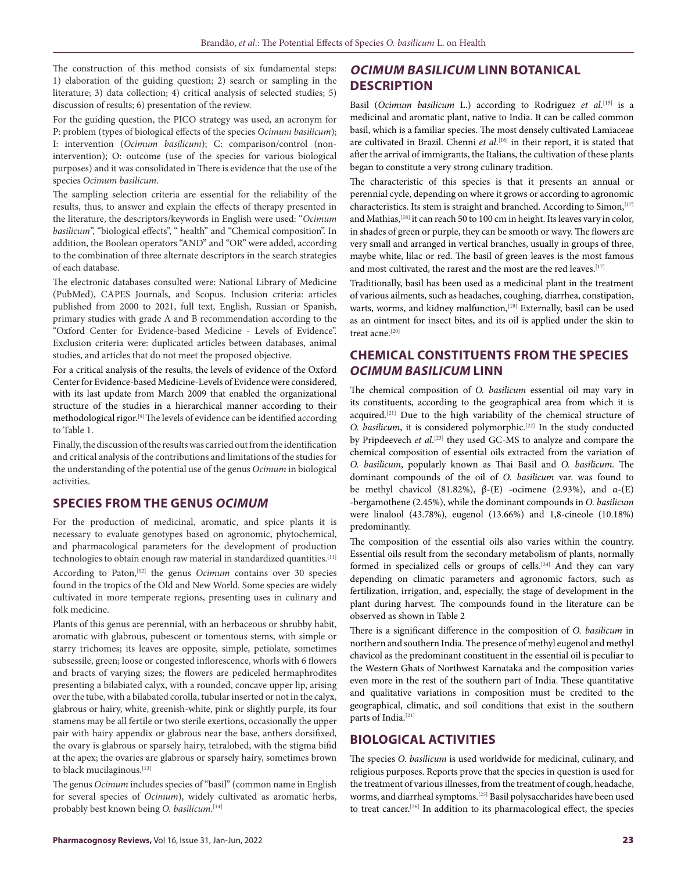The construction of this method consists of six fundamental steps: 1) elaboration of the guiding question; 2) search or sampling in the literature; 3) data collection; 4) critical analysis of selected studies; 5) discussion of results; 6) presentation of the review.

For the guiding question, the PICO strategy was used, an acronym for P: problem (types of biological effects of the species *Ocimum basilicum*); I: intervention (*Ocimum basilicum*); C: comparison/control (nonintervention); O: outcome (use of the species for various biological purposes) and it was consolidated in There is evidence that the use of the species *Ocimum basilicum*.

The sampling selection criteria are essential for the reliability of the results, thus, to answer and explain the effects of therapy presented in the literature, the descriptors/keywords in English were used: "*Ocimum basilicum*", "biological effects", " health" and "Chemical composition". In addition, the Boolean operators "AND" and "OR" were added, according to the combination of three alternate descriptors in the search strategies of each database.

The electronic databases consulted were: National Library of Medicine (PubMed), CAPES Journals, and Scopus. Inclusion criteria: articles published from 2000 to 2021, full text, English, Russian or Spanish, primary studies with grade A and B recommendation according to the "Oxford Center for Evidence-based Medicine - Levels of Evidence". Exclusion criteria were: duplicated articles between databases, animal studies, and articles that do not meet the proposed objective.

For a critical analysis of the results, the levels of evidence of the Oxford Center for Evidence-based Medicine-Levels of Evidence were considered, with its last update from March 2009 that enabled the organizational structure of the studies in a hierarchical manner according to their methodological rigor.[9] The levels of evidence can be identified according to Table 1.

Finally, the discussion of the results was carried out from the identification and critical analysis of the contributions and limitations of the studies for the understanding of the potential use of the genus *Ocimum* in biological activities.

## **SPECIES FROM THE GENUS** *OCIMUM*

For the production of medicinal, aromatic, and spice plants it is necessary to evaluate genotypes based on agronomic, phytochemical, and pharmacological parameters for the development of production technologies to obtain enough raw material in standardized quantities.[11]

According to Paton,<sup>[12]</sup> the genus *Ocimum* contains over 30 species found in the tropics of the Old and New World. Some species are widely cultivated in more temperate regions, presenting uses in culinary and folk medicine.

Plants of this genus are perennial, with an herbaceous or shrubby habit, aromatic with glabrous, pubescent or tomentous stems, with simple or starry trichomes; its leaves are opposite, simple, petiolate, sometimes subsessile, green; loose or congested inflorescence, whorls with 6 flowers and bracts of varying sizes; the flowers are pediceled hermaphrodites presenting a bilabiated calyx, with a rounded, concave upper lip, arising over the tube, with a bilabated corolla, tubular inserted or not in the calyx, glabrous or hairy, white, greenish-white, pink or slightly purple, its four stamens may be all fertile or two sterile exertions, occasionally the upper pair with hairy appendix or glabrous near the base, anthers dorsifixed, the ovary is glabrous or sparsely hairy, tetralobed, with the stigma bifid at the apex; the ovaries are glabrous or sparsely hairy, sometimes brown to black mucilaginous.[13]

The genus *Ocimum* includes species of "basil" (common name in English for several species of *Ocimum*), widely cultivated as aromatic herbs, probably best known being *O. basilicum*. [14]

# **OCIMUM BASILICUM LINN BOTANICAL DESCRIPTION**

Basil (*Ocimum basilicum* L.) according to Rodriguez *et al*. [15] is a medicinal and aromatic plant, native to India. It can be called common basil, which is a familiar species. The most densely cultivated Lamiaceae are cultivated in Brazil. Chenni *et al*. [16] in their report, it is stated that after the arrival of immigrants, the Italians, the cultivation of these plants began to constitute a very strong culinary tradition.

The characteristic of this species is that it presents an annual or perennial cycle, depending on where it grows or according to agronomic characteristics. Its stem is straight and branched. According to Simon, [17] and Mathias, [18] it can reach 50 to 100 cm in height. Its leaves vary in color, in shades of green or purple, they can be smooth or wavy. The flowers are very small and arranged in vertical branches, usually in groups of three, maybe white, lilac or red. The basil of green leaves is the most famous and most cultivated, the rarest and the most are the red leaves.<sup>[17]</sup>

Traditionally, basil has been used as a medicinal plant in the treatment of various ailments, such as headaches, coughing, diarrhea, constipation, warts, worms, and kidney malfunction, <a>[19]</a> Externally, basil can be used as an ointment for insect bites, and its oil is applied under the skin to treat acne.<sup>[20]</sup>

# **CHEMICAL CONSTITUENTS FROM THE SPECIES**  *OCIMUM BASILICUM* **LINN**

The chemical composition of *O. basilicum* essential oil may vary in its constituents, according to the geographical area from which it is acquired.[21] Due to the high variability of the chemical structure of *O. basilicum*, it is considered polymorphic.[22] In the study conducted by Pripdeevech *et al*. [23] they used GC-MS to analyze and compare the chemical composition of essential oils extracted from the variation of *O. basilicum*, popularly known as Thai Basil and *O. basilicum*. The dominant compounds of the oil of *O. basilicum* var. was found to be methyl chavicol (81.82%),  $β$ -(E) -ocimene (2.93%), and α-(E) -bergamothene (2.45%), while the dominant compounds in *O. basilicum* were linalool (43.78%), eugenol (13.66%) and 1,8-cineole (10.18%) predominantly.

The composition of the essential oils also varies within the country. Essential oils result from the secondary metabolism of plants, normally formed in specialized cells or groups of cells.<sup>[24]</sup> And they can vary depending on climatic parameters and agronomic factors, such as fertilization, irrigation, and, especially, the stage of development in the plant during harvest. The compounds found in the literature can be observed as shown in Table 2

There is a significant difference in the composition of *O. basilicum* in northern and southern India. The presence of methyl eugenol and methyl chavicol as the predominant constituent in the essential oil is peculiar to the Western Ghats of Northwest Karnataka and the composition varies even more in the rest of the southern part of India. These quantitative and qualitative variations in composition must be credited to the geographical, climatic, and soil conditions that exist in the southern parts of India.<sup>[21]</sup>

## **BIOLOGICAL ACTIVITIES**

The species *O. basilicum* is used worldwide for medicinal, culinary, and religious purposes. Reports prove that the species in question is used for the treatment of various illnesses, from the treatment of cough, headache, worms, and diarrheal symptoms.[25] Basil polysaccharides have been used to treat cancer.<sup>[26]</sup> In addition to its pharmacological effect, the species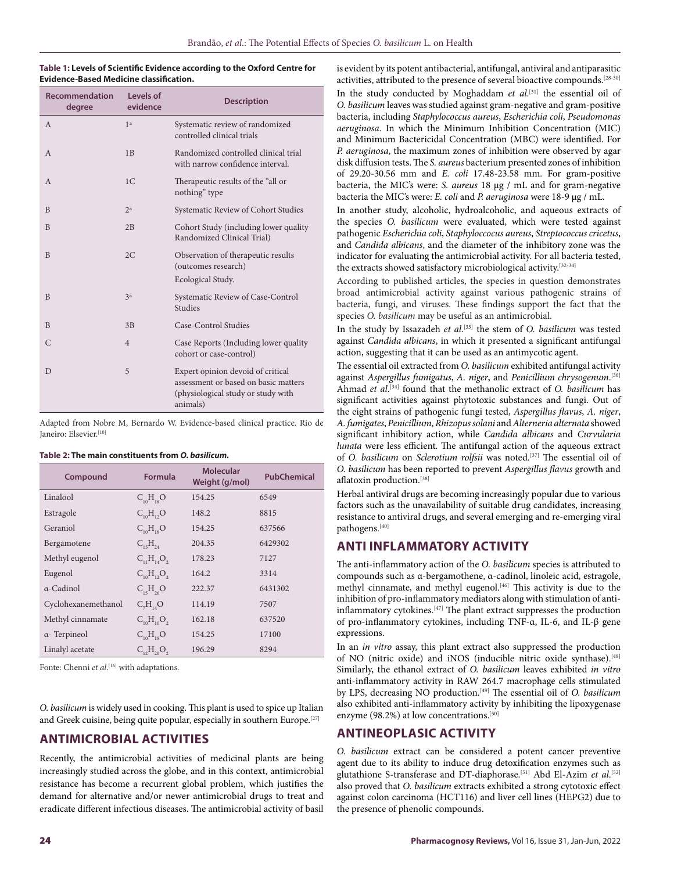#### **Table 1: Levels of Scientific Evidence according to the Oxford Centre for Evidence-Based Medicine classification.**

| Recommendation<br>degree | Levels of<br>evidence | <b>Description</b>                                                                                                          |  |
|--------------------------|-----------------------|-----------------------------------------------------------------------------------------------------------------------------|--|
| $\overline{A}$           | 1 <sup>a</sup>        | Systematic review of randomized<br>controlled clinical trials                                                               |  |
| $\overline{A}$           | 1B                    | Randomized controlled clinical trial<br>with narrow confidence interval.                                                    |  |
| $\mathsf{A}$             | 1 <sup>C</sup>        | Therapeutic results of the "all or<br>nothing" type                                                                         |  |
| B                        | 2 <sup>a</sup>        | Systematic Review of Cohort Studies                                                                                         |  |
| B                        | 2B                    | Cohort Study (including lower quality<br>Randomized Clinical Trial)                                                         |  |
| B                        | 2C                    | Observation of therapeutic results<br>(outcomes research)                                                                   |  |
|                          |                       | Ecological Study.                                                                                                           |  |
| B                        | 3 <sup>a</sup>        | Systematic Review of Case-Control<br><b>Studies</b>                                                                         |  |
| B                        | 3B                    | Case-Control Studies                                                                                                        |  |
| $\mathcal{C}$            | $\overline{4}$        | Case Reports (Including lower quality<br>cohort or case-control)                                                            |  |
| D                        | 5                     | Expert opinion devoid of critical<br>assessment or based on basic matters<br>(physiological study or study with<br>animals) |  |

Adapted from Nobre M, Bernardo W. Evidence-based clinical practice. Rio de Janeiro: Elsevier.<sup>[10]</sup>

#### **Table 2: The main constituents from** *O. basilicum.*

| Compound            | Formula                          | <b>Molecular</b><br>Weight (g/mol) | <b>PubChemical</b> |
|---------------------|----------------------------------|------------------------------------|--------------------|
| Linalool            | $C_{10}H_{18}O$                  | 154.25                             | 6549               |
| Estragole           | $C_{10}H_{12}O$                  | 148.2                              | 8815               |
| Geraniol            | $C_{10}H_{18}O$                  | 154.25                             | 637566             |
| Bergamotene         | $C_{15}H_{24}$                   | 204.35                             | 6429302            |
| Methyl eugenol      | $C_{11}H_{14}O_{2}$              | 178.23                             | 7127               |
| Eugenol             | $C_{\alpha}H_{\alpha}O_{\alpha}$ | 164.2                              | 3314               |
| $\alpha$ -Cadinol   | $C_{15}H_{26}O$                  | 222.37                             | 6431302            |
| Cyclohexanemethanol | C <sub>7</sub> H <sub>14</sub> O | 114.19                             | 7507               |
| Methyl cinnamate    | $C_{10}H_{10}O_{2}$              | 162.18                             | 637520             |
| α- Terpineol        | $C_{10}H_{18}O$                  | 154.25                             | 17100              |
| Linalyl acetate     | $C_{12}H_{20}O_2$                | 196.29                             | 8294               |

Fonte: Chenni *et al*. [16] with adaptations.

*O. basilicum* is widely used in cooking. This plant is used to spice up Italian and Greek cuisine, being quite popular, especially in southern Europe.<sup>[27]</sup>

## **ANTIMICROBIAL ACTIVITIES**

Recently, the antimicrobial activities of medicinal plants are being increasingly studied across the globe, and in this context, antimicrobial resistance has become a recurrent global problem, which justifies the demand for alternative and/or newer antimicrobial drugs to treat and eradicate different infectious diseases. The antimicrobial activity of basil is evident by its potent antibacterial, antifungal, antiviral and antiparasitic activities, attributed to the presence of several bioactive compounds.[28-30]

In the study conducted by Moghaddam *et al*.<sup>[31]</sup> the essential oil of *O. basilicum* leaves was studied against gram-negative and gram-positive bacteria, including *Staphylococcus aureus*, *Escherichia coli*, *Pseudomonas aeruginosa*. In which the Minimum Inhibition Concentration (MIC) and Minimum Bactericidal Concentration (MBC) were identified. For *P. aeruginosa*, the maximum zones of inhibition were observed by agar disk diffusion tests. The *S. aureus* bacterium presented zones of inhibition of 29.20-30.56 mm and *E. coli* 17.48-23.58 mm. For gram-positive bacteria, the MIC's were: *S. aureus* 18 μg / mL and for gram-negative bacteria the MIC's were: *E. coli* and *P. aeruginosa* were 18-9 μg / mL.

In another study, alcoholic, hydroalcoholic, and aqueous extracts of the species *O. basilicum* were evaluated, which were tested against pathogenic *Escherichia coli*, *Staphyloccocus aureus*, *Streptococcus cricetus*, and *Candida albicans*, and the diameter of the inhibitory zone was the indicator for evaluating the antimicrobial activity. For all bacteria tested, the extracts showed satisfactory microbiological activity.[32-34]

According to published articles, the species in question demonstrates broad antimicrobial activity against various pathogenic strains of bacteria, fungi, and viruses. These findings support the fact that the species *O. basilicum* may be useful as an antimicrobial.

In the study by Issazadeh *et al*. [35] the stem of *O. basilicum* was tested against *Candida albicans*, in which it presented a significant antifungal action, suggesting that it can be used as an antimycotic agent.

The essential oil extracted from *O. basilicum* exhibited antifungal activity against *Aspergillus fumigatus*, *A. niger*, and *Penicillium chrysogenum*. [36] Ahmad *et al*. [34] found that the methanolic extract of *O. basilicum* has significant activities against phytotoxic substances and fungi. Out of the eight strains of pathogenic fungi tested, *Aspergillus flavus*, *A. niger*, *A. fumigates*, *Penicillium*, *Rhizopus solani* and *Alterneria alternata* showed significant inhibitory action, while *Candida albicans* and *Curvularia lunata* were less efficient. The antifungal action of the aqueous extract of *O. basilicum* on *Sclerotium rolfsii* was noted.[37] The essential oil of *O. basilicum* has been reported to prevent *Aspergillus flavus* growth and aflatoxin production.[38]

Herbal antiviral drugs are becoming increasingly popular due to various factors such as the unavailability of suitable drug candidates, increasing resistance to antiviral drugs, and several emerging and re-emerging viral pathogens.[40]

#### **ANTI INFLAMMATORY ACTIVITY**

The anti-inflammatory action of the *O. basilicum* species is attributed to compounds such as α-bergamothene, α-cadinol, linoleic acid, estragole, methyl cinnamate, and methyl eugenol.<sup>[46]</sup> This activity is due to the inhibition of pro-inflammatory mediators along with stimulation of antiinflammatory cytokines.[47] The plant extract suppresses the production of pro-inflammatory cytokines, including TNF-α, IL-6, and IL-β gene expressions.

In an *in vitro* assay, this plant extract also suppressed the production of NO (nitric oxide) and iNOS (inducible nitric oxide synthase).[48] Similarly, the ethanol extract of *O. basilicum* leaves exhibited *in vitro* anti-inflammatory activity in RAW 264.7 macrophage cells stimulated by LPS, decreasing NO production.[49] The essential oil of *O. basilicum* also exhibited anti-inflammatory activity by inhibiting the lipoxygenase enzyme (98.2%) at low concentrations.<sup>[50]</sup>

## **ANTINEOPLASIC ACTIVITY**

*O. basilicum* extract can be considered a potent cancer preventive agent due to its ability to induce drug detoxification enzymes such as glutathione S-transferase and DT-diaphorase.<sup>[51]</sup> Abd El-Azim *et al*.<sup>[52]</sup> also proved that *O. basilicum* extracts exhibited a strong cytotoxic effect against colon carcinoma (HCT116) and liver cell lines (HEPG2) due to the presence of phenolic compounds.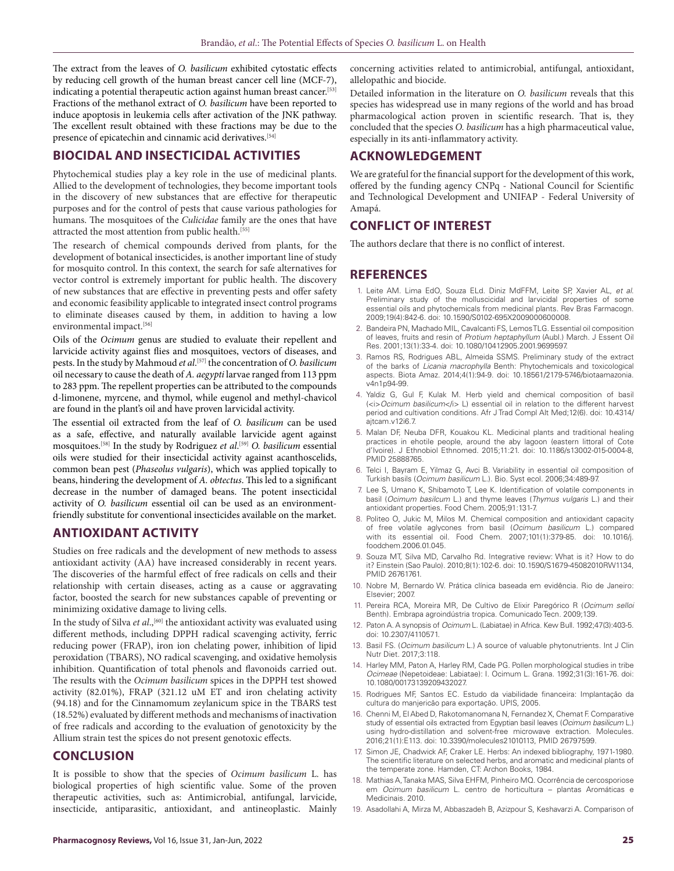The extract from the leaves of *O. basilicum* exhibited cytostatic effects by reducing cell growth of the human breast cancer cell line (MCF-7), indicating a potential therapeutic action against human breast cancer.[53] Fractions of the methanol extract of *O. basilicum* have been reported to induce apoptosis in leukemia cells after activation of the JNK pathway. The excellent result obtained with these fractions may be due to the presence of epicatechin and cinnamic acid derivatives.<sup>[54]</sup>

#### **BIOCIDAL AND INSECTICIDAL ACTIVITIES**

Phytochemical studies play a key role in the use of medicinal plants. Allied to the development of technologies, they become important tools in the discovery of new substances that are effective for therapeutic purposes and for the control of pests that cause various pathologies for humans. The mosquitoes of the *Culicidae* family are the ones that have attracted the most attention from public health.[55]

The research of chemical compounds derived from plants, for the development of botanical insecticides, is another important line of study for mosquito control. In this context, the search for safe alternatives for vector control is extremely important for public health. The discovery of new substances that are effective in preventing pests and offer safety and economic feasibility applicable to integrated insect control programs to eliminate diseases caused by them, in addition to having a low environmental impact.<sup>[56]</sup>

Oils of the *Ocimum* genus are studied to evaluate their repellent and larvicide activity against flies and mosquitoes, vectors of diseases, and pests. In the study by Mahmoud *et al*. [57] the concentration of *O. basilicum* oil necessary to cause the death of *A. aegypti* larvae ranged from 113 ppm to 283 ppm. The repellent properties can be attributed to the compounds d-limonene, myrcene, and thymol, while eugenol and methyl-chavicol are found in the plant's oil and have proven larvicidal activity.

The essential oil extracted from the leaf of *O. basilicum* can be used as a safe, effective, and naturally available larvicide agent against mosquitoes.[58] In the study by Rodriguez *et al*. [59] *O. basilicum* essential oils were studied for their insecticidal activity against acanthoscelids, common bean pest (*Phaseolus vulgaris*), which was applied topically to beans, hindering the development of *A. obtectus*. This led to a significant decrease in the number of damaged beans. The potent insecticidal activity of *O. basilicum* essential oil can be used as an environmentfriendly substitute for conventional insecticides available on the market.

## **ANTIOXIDANT ACTIVITY**

Studies on free radicals and the development of new methods to assess antioxidant activity (AA) have increased considerably in recent years. The discoveries of the harmful effect of free radicals on cells and their relationship with certain diseases, acting as a cause or aggravating factor, boosted the search for new substances capable of preventing or minimizing oxidative damage to living cells.

In the study of Silva *et al.*,<sup>[60]</sup> the antioxidant activity was evaluated using different methods, including DPPH radical scavenging activity, ferric reducing power (FRAP), iron ion chelating power, inhibition of lipid peroxidation (TBARS), NO radical scavenging, and oxidative hemolysis inhibition. Quantification of total phenols and flavonoids carried out. The results with the *Ocimum basilicum* spices in the DPPH test showed activity (82.01%), FRAP (321.12 uM ET and iron chelating activity (94.18) and for the Cinnamomum zeylanicum spice in the TBARS test (18.52%) evaluated by different methods and mechanisms of inactivation of free radicals and according to the evaluation of genotoxicity by the Allium strain test the spices do not present genotoxic effects.

## **CONCLUSION**

It is possible to show that the species of *Ocimum basilicum* L. has biological properties of high scientific value. Some of the proven therapeutic activities, such as: Antimicrobial, antifungal, larvicide, insecticide, antiparasitic, antioxidant, and antineoplastic. Mainly

concerning activities related to antimicrobial, antifungal, antioxidant, allelopathic and biocide.

Detailed information in the literature on *O. basilicum* reveals that this species has widespread use in many regions of the world and has broad pharmacological action proven in scientific research. That is, they concluded that the species *O. basilicum* has a high pharmaceutical value, especially in its anti-inflammatory activity.

#### **ACKNOWLEDGEMENT**

We are grateful for the financial support for the development of this work, offered by the funding agency CNPq - National Council for Scientific and Technological Development and UNIFAP - Federal University of Amapá.

#### **CONFLICT OF INTEREST**

The authors declare that there is no conflict of interest.

## **REFERENCES**

- 1. Leite AM. Lima EdO, Souza ELd. Diniz MdFFM, Leite SP, Xavier AL, *et al*. Preliminary study of the molluscicidal and larvicidal properties of some essential oils and phytochemicals from medicinal plants. Rev Bras Farmacogn. 2009;19(4):842-6. doi: 10.1590/S0102-695X2009000600008.
- 2. Bandeira PN, Machado MIL, Cavalcanti FS, Lemos TLG. Essential oil composition of leaves, fruits and resin of *Protium heptaphyllum* (Aubl.) March. J Essent Oil Res. 2001;13(1):33-4. doi: 10.1080/10412905.2001.9699597.
- 3. Ramos RS, Rodrigues ABL, Almeida SSMS. Preliminary study of the extract of the barks of *Licania macrophylla* Benth: Phytochemicals and toxicological aspects. Biota Amaz. 2014;4(1):94-9. doi: 10.18561/2179-5746/biotaamazonia. v4n1p94-99.
- 4. Yaldiz G, Gul F, Kulak M. Herb yield and chemical composition of basil (<i>*Ocimum basilicum*</i> L) essential oil in relation to the different harvest period and cultivation conditions. Afr J Trad Compl Alt Med;12(6). doi: 10.4314/ ajtcam.v12i6.7.
- 5. Malan DF, Neuba DFR, Kouakou KL. Medicinal plants and traditional healing practices in ehotile people, around the aby lagoon (eastern littoral of Cote d'Ivoire). J Ethnobiol Ethnomed. 2015;11:21. doi: 10.1186/s13002-015-0004-8, PMID 25888765.
- 6. Telci I, Bayram E, Yilmaz G, Avci B. Variability in essential oil composition of Turkish basils (*Ocimum basilicum* L.). Bio. Syst ecol. 2006;34:489-97.
- 7. Lee S, Umano K, Shibamoto T, Lee K. Identification of volatile components in basil (*Ocimum basilcum* L.) and thyme leaves (*Thymus vulgaris* L.) and their antioxidant properties. Food Chem. 2005;91:131-7.
- 8. Politeo O, Jukic M, Milos M. Chemical composition and antioxidant capacity of free volatile aglycones from basil (*Ocimum basilicum* L.) compared with its essential oil. Food Chem. 2007;101(1):379-85. doi: 10.1016/j. foodchem.2006.01.045.
- 9. Souza MT, Silva MD, Carvalho Rd. Integrative review: What is it? How to do it? Einstein (Sao Paulo). 2010;8(1):102-6. doi: 10.1590/S1679-45082010RW1134, PMID 26761761.
- 10. Nobre M, Bernardo W. Prática clínica baseada em evidência. Rio de Janeiro: Elsevier; 2007.
- 11. Pereira RCA, Moreira MR, De Cultivo de Elixir Paregórico R (*Ocimum selloi* Benth). Embrapa agroindústria tropica. Comunicado Tecn. 2009;139.
- 12. Paton A. A synopsis of *Ocimum* L. (Labiatae) in Africa. Kew Bull. 1992;47(3):403-5. doi: 10.2307/4110571.
- 13. Basil FS. (*Ocimum basilicum* L.) A source of valuable phytonutrients. Int J Clin Nutr Diet. 2017;3:118.
- 14. Harley MM, Paton A, Harley RM, Cade PG. Pollen morphological studies in tribe *Ocimeae* (Nepetoideae: Labiatae): I. Ocimum L. Grana. 1992;31(3):161-76. doi: 10.1080/00173139209432027.
- 15. Rodrigues MF, Santos EC. Estudo da viabilidade financeira: Implantação da cultura do manjericão para exportação. UPIS, 2005.
- 16. Chenni M, El Abed D, Rakotomanomana N, Fernandez X, Chemat F. Comparative study of essential oils extracted from Egyptian basil leaves (*Ocimum basilicum* L.) using hydro-distillation and solvent-free microwave extraction. Molecules. 2016;21(1):E113. doi: 10.3390/molecules21010113, PMID 26797599.
- 17. Simon JE, Chadwick AF, Craker LE. Herbs: An indexed bibliography, 1971-1980. The scientific literature on selected herbs, and aromatic and medicinal plants of the temperate zone. Hamden, CT: Archon Books, 1984.
- 18. Mathias A, Tanaka MAS, Silva EHFM, Pinheiro MQ. Ocorrência de cercosporiose em *Ocimum basilicum* L. centro de horticultura – plantas Aromáticas e Medicinais. 2010.
- 19. Asadollahi A, Mirza M, Abbaszadeh B, Azizpour S, Keshavarzi A. Comparison of